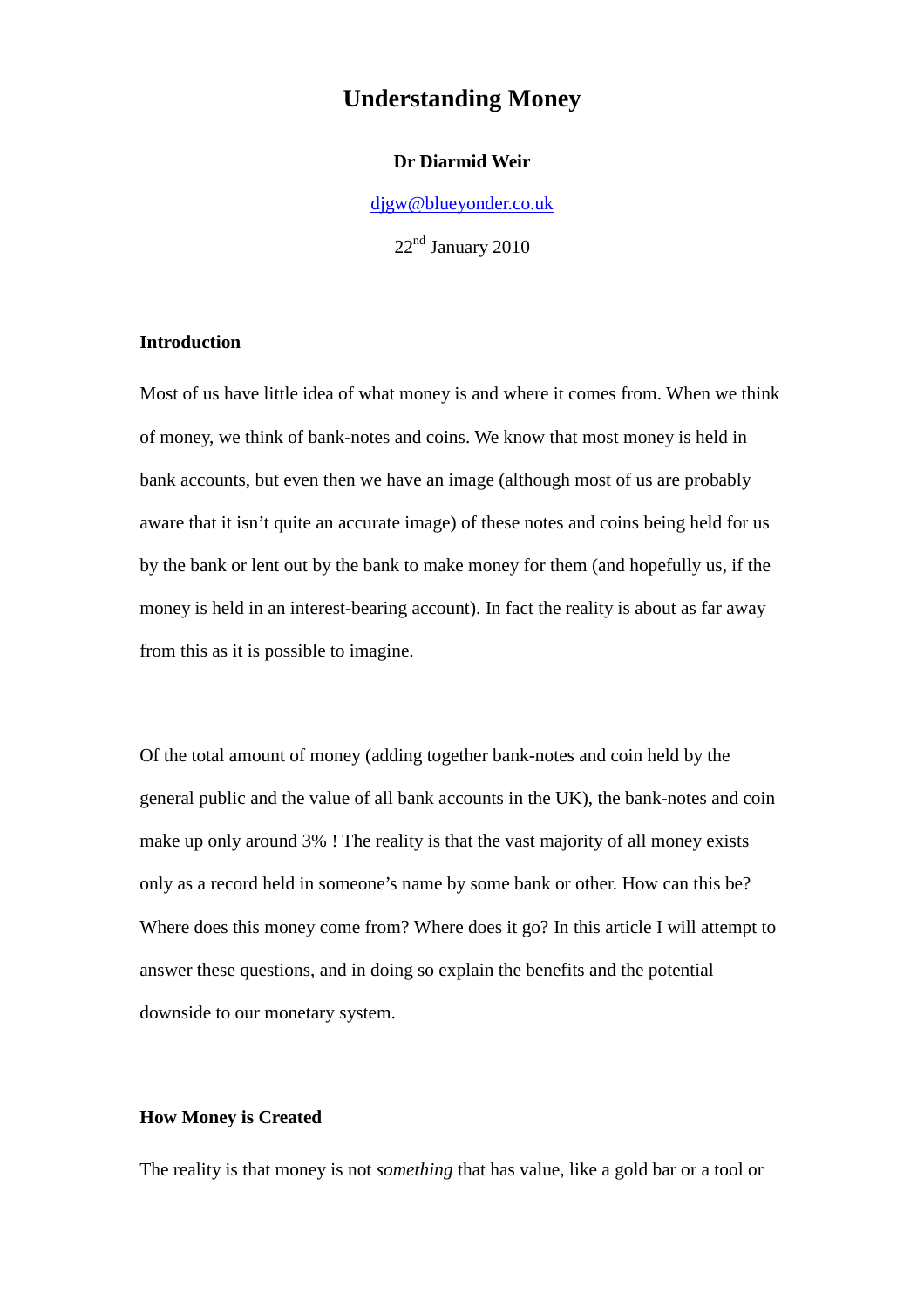# **Understanding Money**

## **Dr Diarmid Weir**

djgw@blueyonder.co.uk

22nd January 2010

# **Introduction**

Most of us have little idea of what money is and where it comes from. When we think of money, we think of bank-notes and coins. We know that most money is held in bank accounts, but even then we have an image (although most of us are probably aware that it isn't quite an accurate image) of these notes and coins being held for us by the bank or lent out by the bank to make money for them (and hopefully us, if the money is held in an interest-bearing account). In fact the reality is about as far away from this as it is possible to imagine.

Of the total amount of money (adding together bank-notes and coin held by the general public and the value of all bank accounts in the UK), the bank-notes and coin make up only around 3% ! The reality is that the vast majority of all money exists only as a record held in someone's name by some bank or other. How can this be? Where does this money come from? Where does it go? In this article I will attempt to answer these questions, and in doing so explain the benefits and the potential downside to our monetary system.

# **How Money is Created**

The reality is that money is not *something* that has value, like a gold bar or a tool or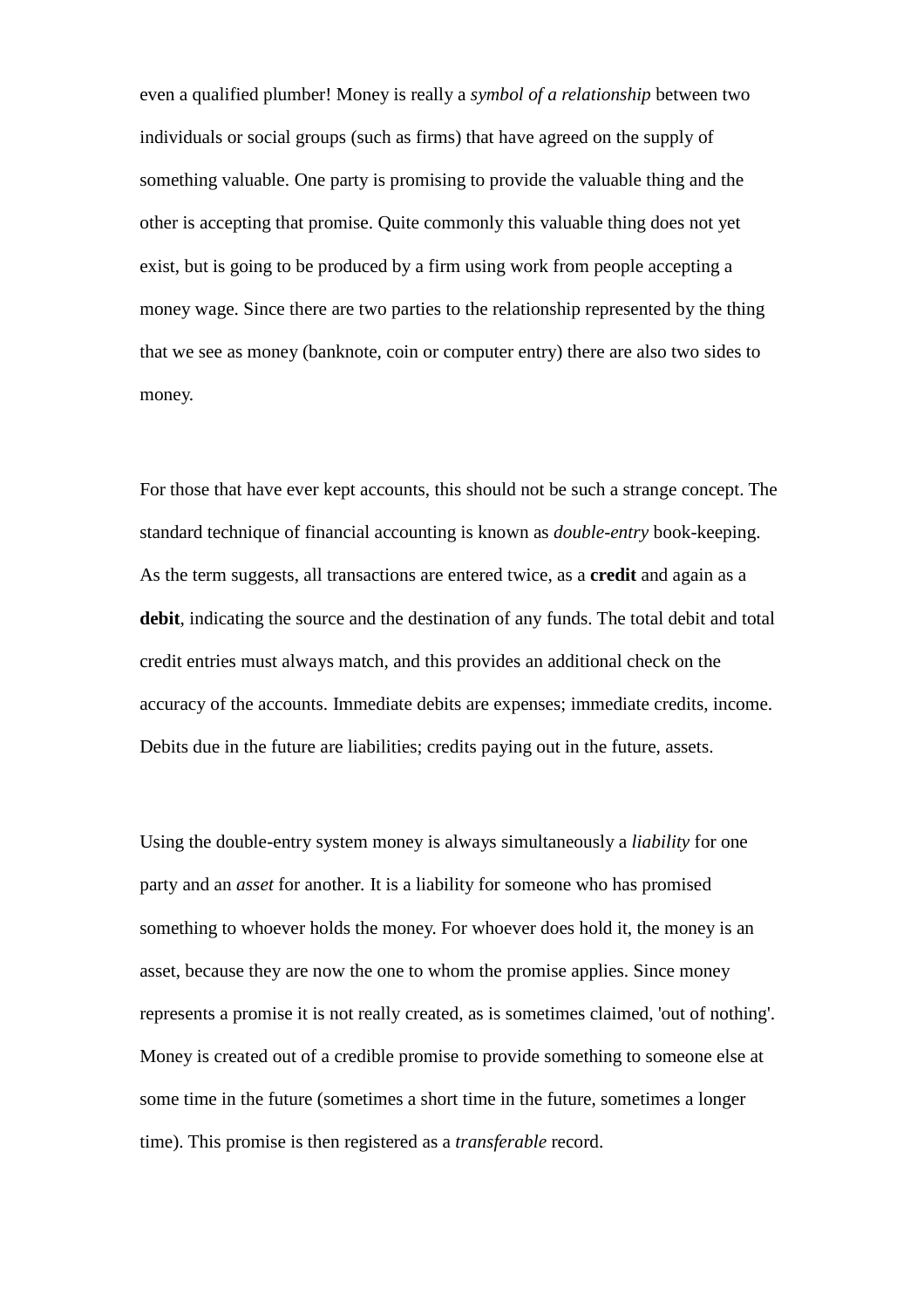even a qualified plumber! Money is really a *symbol of a relationship* between two individuals or social groups (such as firms) that have agreed on the supply of something valuable. One party is promising to provide the valuable thing and the other is accepting that promise. Quite commonly this valuable thing does not yet exist, but is going to be produced by a firm using work from people accepting a money wage. Since there are two parties to the relationship represented by the thing that we see as money (banknote, coin or computer entry) there are also two sides to money.

For those that have ever kept accounts, this should not be such a strange concept. The standard technique of financial accounting is known as *double-entry* book-keeping. As the term suggests, all transactions are entered twice, as a **credit** and again as a **debit**, indicating the source and the destination of any funds. The total debit and total credit entries must always match, and this provides an additional check on the accuracy of the accounts. Immediate debits are expenses; immediate credits, income. Debits due in the future are liabilities; credits paying out in the future, assets.

Using the double-entry system money is always simultaneously a *liability* for one party and an *asset* for another*.* It is a liability for someone who has promised something to whoever holds the money. For whoever does hold it, the money is an asset, because they are now the one to whom the promise applies. Since money represents a promise it is not really created, as is sometimes claimed, 'out of nothing'. Money is created out of a credible promise to provide something to someone else at some time in the future (sometimes a short time in the future, sometimes a longer time). This promise is then registered as a *transferable* record.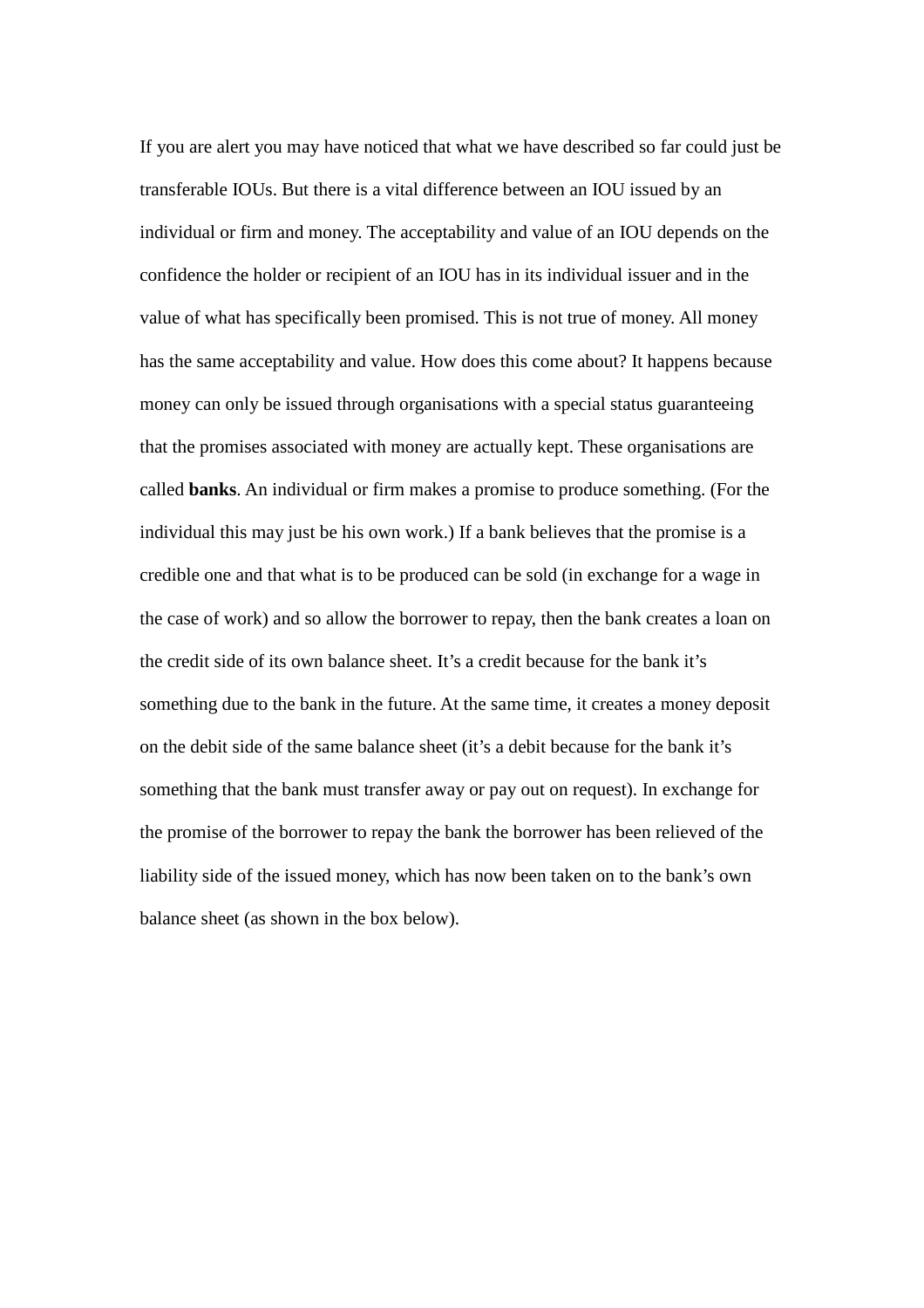If you are alert you may have noticed that what we have described so far could just be transferable IOUs. But there is a vital difference between an IOU issued by an individual or firm and money. The acceptability and value of an IOU depends on the confidence the holder or recipient of an IOU has in its individual issuer and in the value of what has specifically been promised. This is not true of money. All money has the same acceptability and value. How does this come about? It happens because money can only be issued through organisations with a special status guaranteeing that the promises associated with money are actually kept. These organisations are called **banks**. An individual or firm makes a promise to produce something. (For the individual this may just be his own work.) If a bank believes that the promise is a credible one and that what is to be produced can be sold (in exchange for a wage in the case of work) and so allow the borrower to repay, then the bank creates a loan on the credit side of its own balance sheet. It's a credit because for the bank it's something due to the bank in the future. At the same time, it creates a money deposit on the debit side of the same balance sheet (it's a debit because for the bank it's something that the bank must transfer away or pay out on request). In exchange for the promise of the borrower to repay the bank the borrower has been relieved of the liability side of the issued money, which has now been taken on to the bank's own balance sheet (as shown in the box below).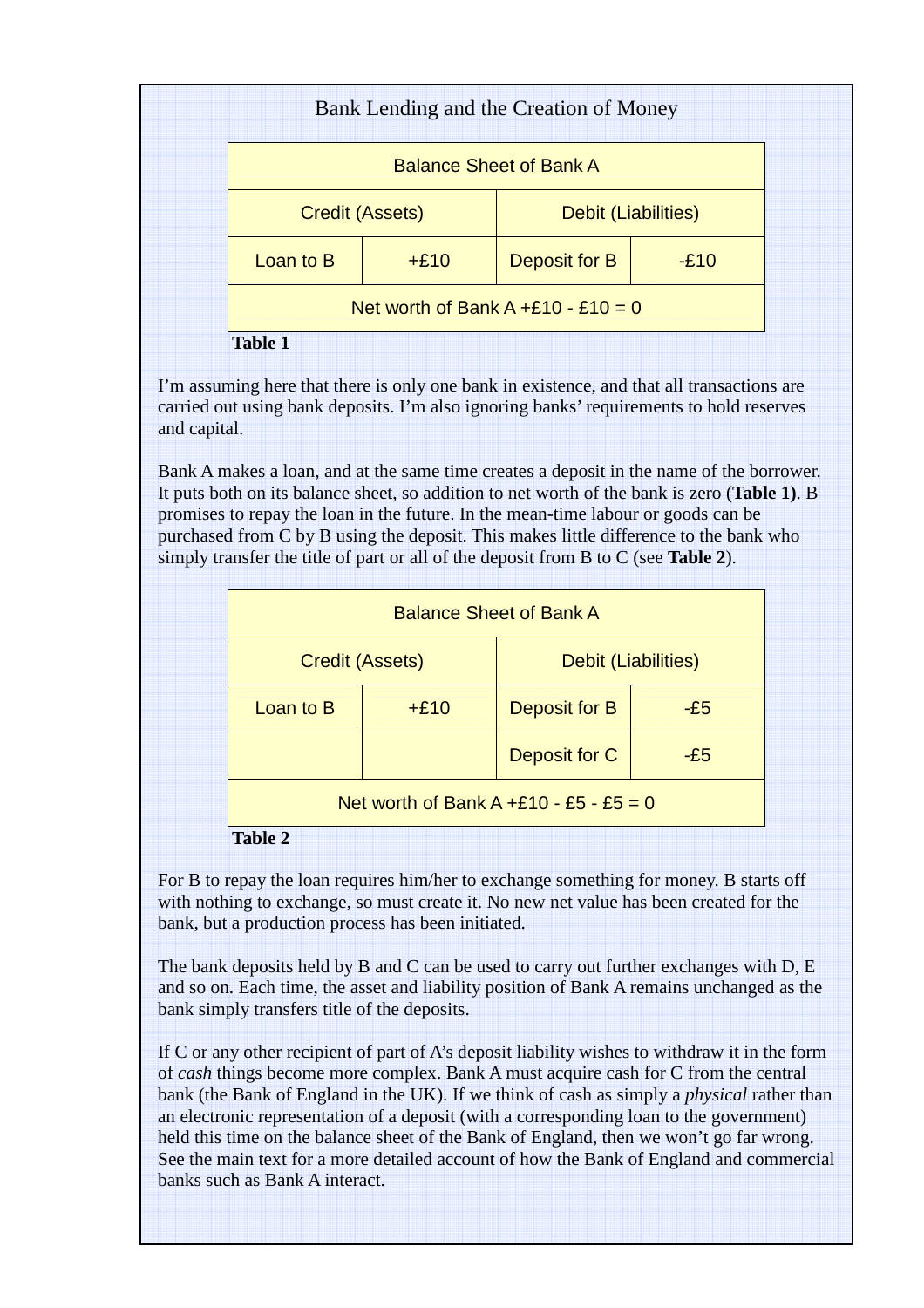| <b>Balance Sheet of Bank A</b> |        |                     |        |  |
|--------------------------------|--------|---------------------|--------|--|
| <b>Credit (Assets)</b>         |        | Debit (Liabilities) |        |  |
| Loan to B                      | $+£10$ | Deposit for B       | $-E10$ |  |

I'm assuming here that there is only one bank in existence, and that all transactions are carried out using bank deposits. I'm also ignoring banks' requirements to hold reserves and capital.

Bank A makes a loan, and at the same time creates a deposit in the name of the borrower. It puts both on its balance sheet, so addition to net worth of the bank is zero (**Table 1)**. B promises to repay the loan in the future. In the mean-time labour or goods can be purchased from C by B using the deposit. This makes little difference to the bank who simply transfer the title of part or all of the deposit from B to C (see **Table 2**).

| <b>Balance Sheet of Bank A</b> |        |                                        |       |  |
|--------------------------------|--------|----------------------------------------|-------|--|
| <b>Credit (Assets)</b>         |        | Debit (Liabilities)                    |       |  |
| Loan to B                      | $+£10$ | Deposit for B                          | $-E5$ |  |
|                                |        | Deposit for C                          | $-E5$ |  |
|                                |        | Net worth of Bank A +£10 - £5 - £5 = 0 |       |  |
| <b>Table 2</b>                 |        |                                        |       |  |

For B to repay the loan requires him/her to exchange something for money. B starts off with nothing to exchange, so must create it. No new net value has been created for the bank, but a production process has been initiated.

The bank deposits held by B and C can be used to carry out further exchanges with D, E and so on. Each time, the asset and liability position of Bank A remains unchanged as the bank simply transfers title of the deposits.

If C or any other recipient of part of A's deposit liability wishes to withdraw it in the form of *cash* things become more complex. Bank A must acquire cash for C from the central bank (the Bank of England in the UK). If we think of cash as simply a *physical* rather than an electronic representation of a deposit (with a corresponding loan to the government) held this time on the balance sheet of the Bank of England, then we won't go far wrong. See the main text for a more detailed account of how the Bank of England and commercial banks such as Bank A interact.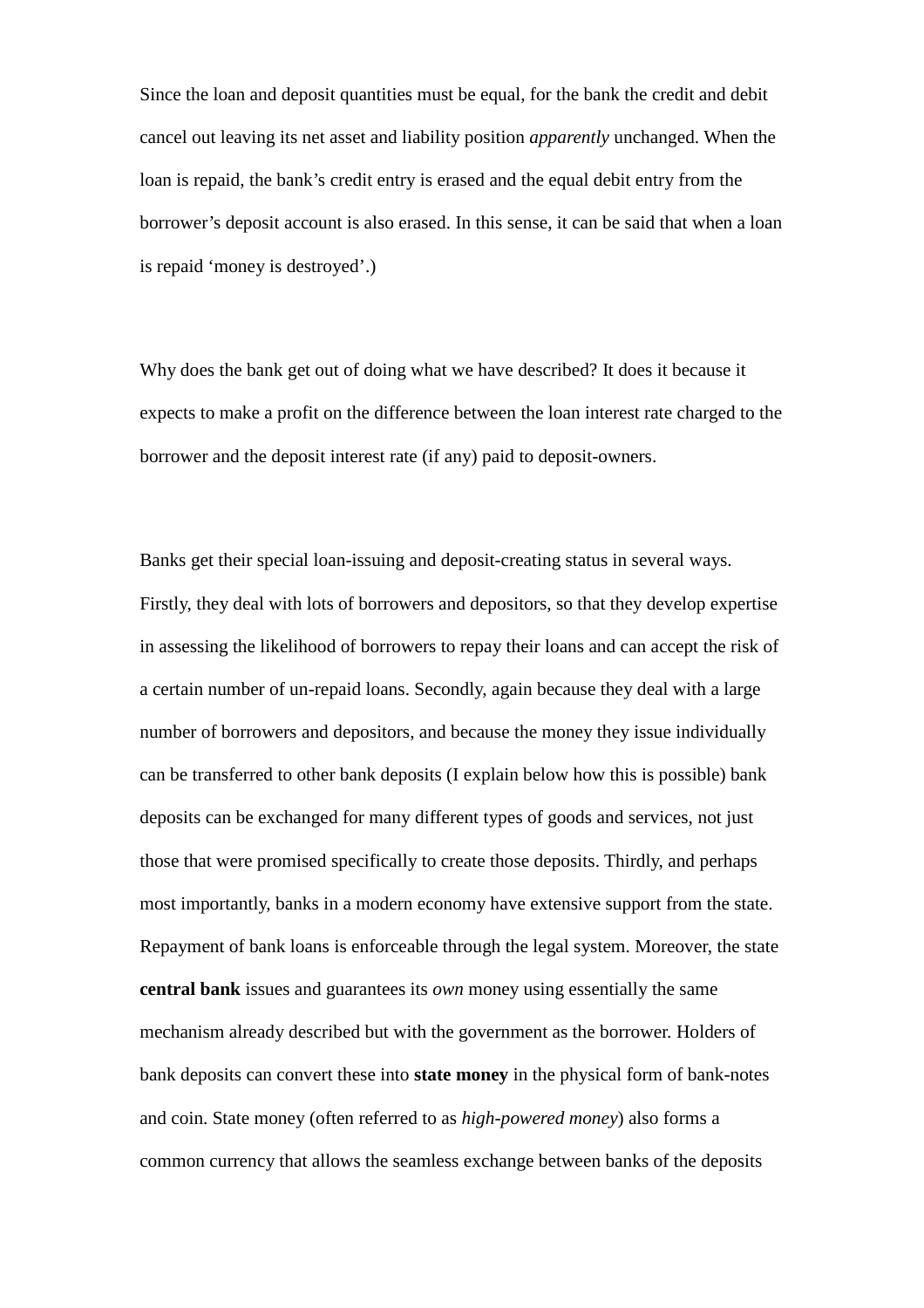Since the loan and deposit quantities must be equal, for the bank the credit and debit cancel out leaving its net asset and liability position *apparently* unchanged. When the loan is repaid, the bank's credit entry is erased and the equal debit entry from the borrower's deposit account is also erased. In this sense, it can be said that when a loan is repaid 'money is destroyed'.)

Why does the bank get out of doing what we have described? It does it because it expects to make a profit on the difference between the loan interest rate charged to the borrower and the deposit interest rate (if any) paid to deposit-owners.

Banks get their special loan-issuing and deposit-creating status in several ways. Firstly, they deal with lots of borrowers and depositors, so that they develop expertise in assessing the likelihood of borrowers to repay their loans and can accept the risk of a certain number of un-repaid loans. Secondly, again because they deal with a large number of borrowers and depositors, and because the money they issue individually can be transferred to other bank deposits (I explain below how this is possible) bank deposits can be exchanged for many different types of goods and services, not just those that were promised specifically to create those deposits. Thirdly, and perhaps most importantly, banks in a modern economy have extensive support from the state. Repayment of bank loans is enforceable through the legal system. Moreover, the state **central bank** issues and guarantees its *own* money using essentially the same mechanism already described but with the government as the borrower. Holders of bank deposits can convert these into **state money** in the physical form of bank-notes and coin. State money (often referred to as *high-powered money*) also forms a common currency that allows the seamless exchange between banks of the deposits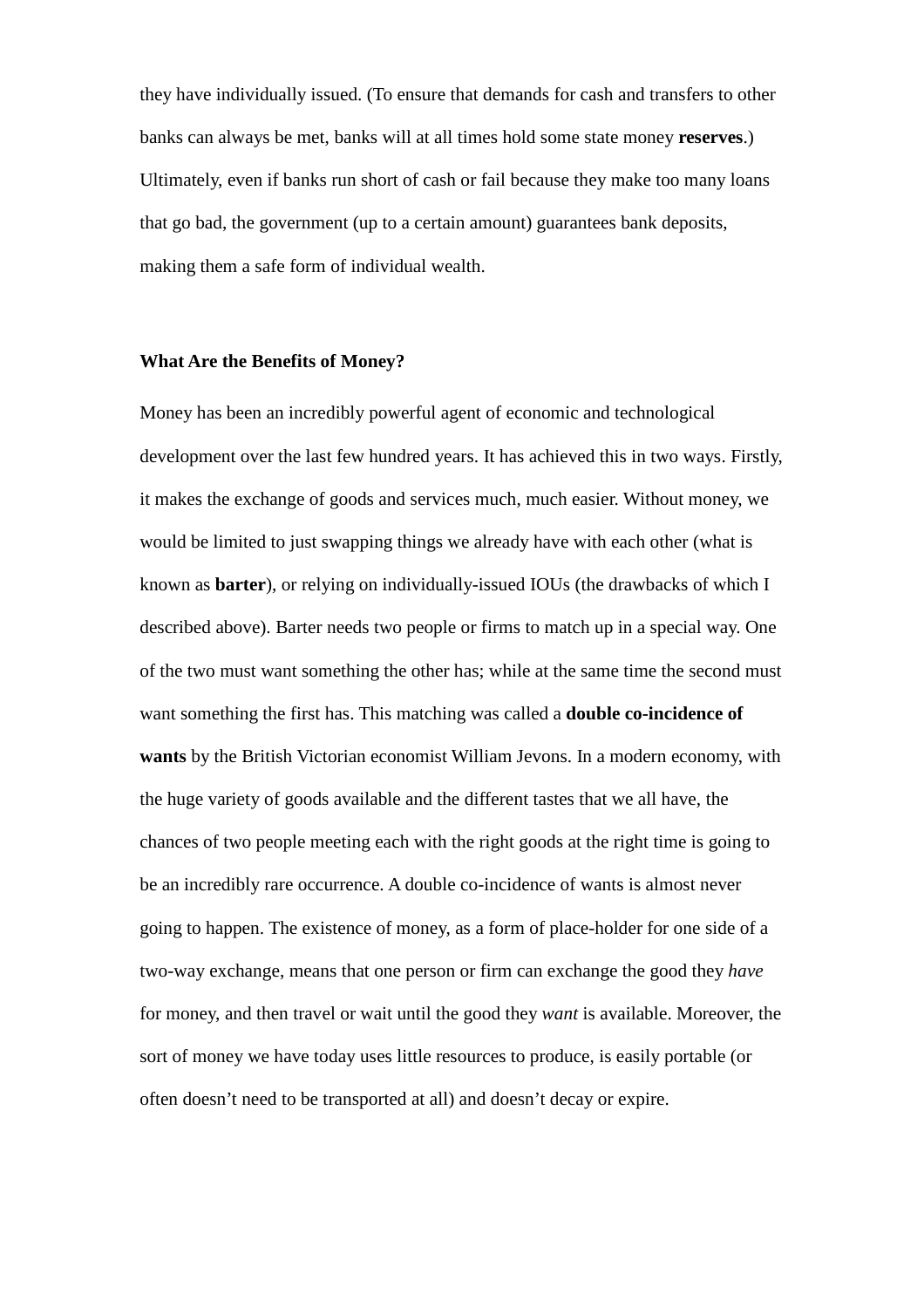they have individually issued. (To ensure that demands for cash and transfers to other banks can always be met, banks will at all times hold some state money **reserves**.) Ultimately, even if banks run short of cash or fail because they make too many loans that go bad, the government (up to a certain amount) guarantees bank deposits, making them a safe form of individual wealth.

#### **What Are the Benefits of Money?**

Money has been an incredibly powerful agent of economic and technological development over the last few hundred years. It has achieved this in two ways. Firstly, it makes the exchange of goods and services much, much easier. Without money, we would be limited to just swapping things we already have with each other (what is known as **barter**), or relying on individually-issued IOUs (the drawbacks of which I described above). Barter needs two people or firms to match up in a special way. One of the two must want something the other has; while at the same time the second must want something the first has. This matching was called a **double co-incidence of wants** by the British Victorian economist William Jevons. In a modern economy, with the huge variety of goods available and the different tastes that we all have, the chances of two people meeting each with the right goods at the right time is going to be an incredibly rare occurrence. A double co-incidence of wants is almost never going to happen. The existence of money, as a form of place-holder for one side of a two-way exchange, means that one person or firm can exchange the good they *have* for money, and then travel or wait until the good they *want* is available. Moreover, the sort of money we have today uses little resources to produce, is easily portable (or often doesn't need to be transported at all) and doesn't decay or expire.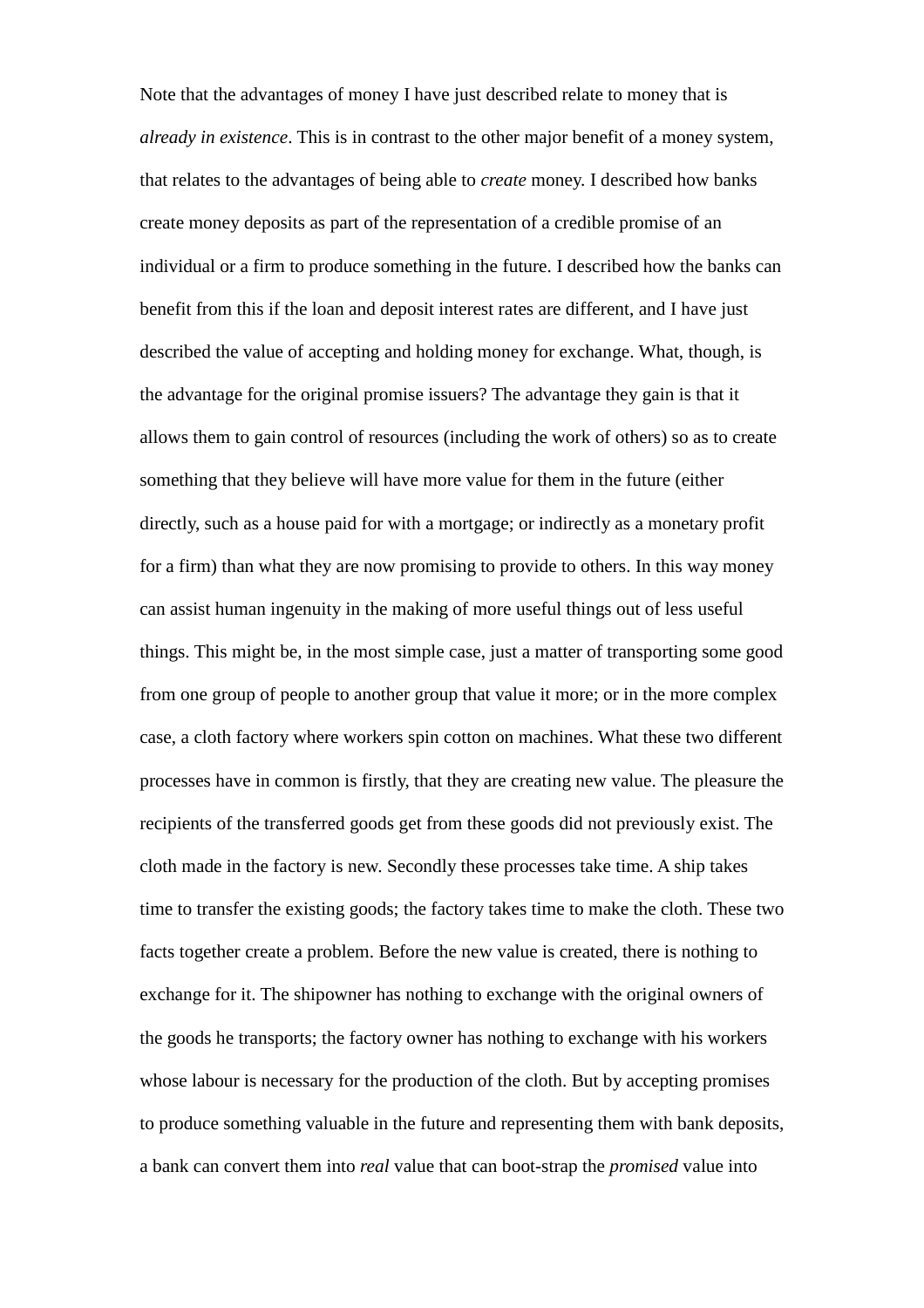Note that the advantages of money I have just described relate to money that is *already in existence*. This is in contrast to the other major benefit of a money system, that relates to the advantages of being able to *create* money. I described how banks create money deposits as part of the representation of a credible promise of an individual or a firm to produce something in the future. I described how the banks can benefit from this if the loan and deposit interest rates are different, and I have just described the value of accepting and holding money for exchange. What, though, is the advantage for the original promise issuers? The advantage they gain is that it allows them to gain control of resources (including the work of others) so as to create something that they believe will have more value for them in the future (either directly, such as a house paid for with a mortgage; or indirectly as a monetary profit for a firm) than what they are now promising to provide to others. In this way money can assist human ingenuity in the making of more useful things out of less useful things. This might be, in the most simple case, just a matter of transporting some good from one group of people to another group that value it more; or in the more complex case, a cloth factory where workers spin cotton on machines. What these two different processes have in common is firstly, that they are creating new value. The pleasure the recipients of the transferred goods get from these goods did not previously exist. The cloth made in the factory is new. Secondly these processes take time. A ship takes time to transfer the existing goods; the factory takes time to make the cloth. These two facts together create a problem. Before the new value is created, there is nothing to exchange for it. The shipowner has nothing to exchange with the original owners of the goods he transports; the factory owner has nothing to exchange with his workers whose labour is necessary for the production of the cloth. But by accepting promises to produce something valuable in the future and representing them with bank deposits, a bank can convert them into *real* value that can boot-strap the *promised* value into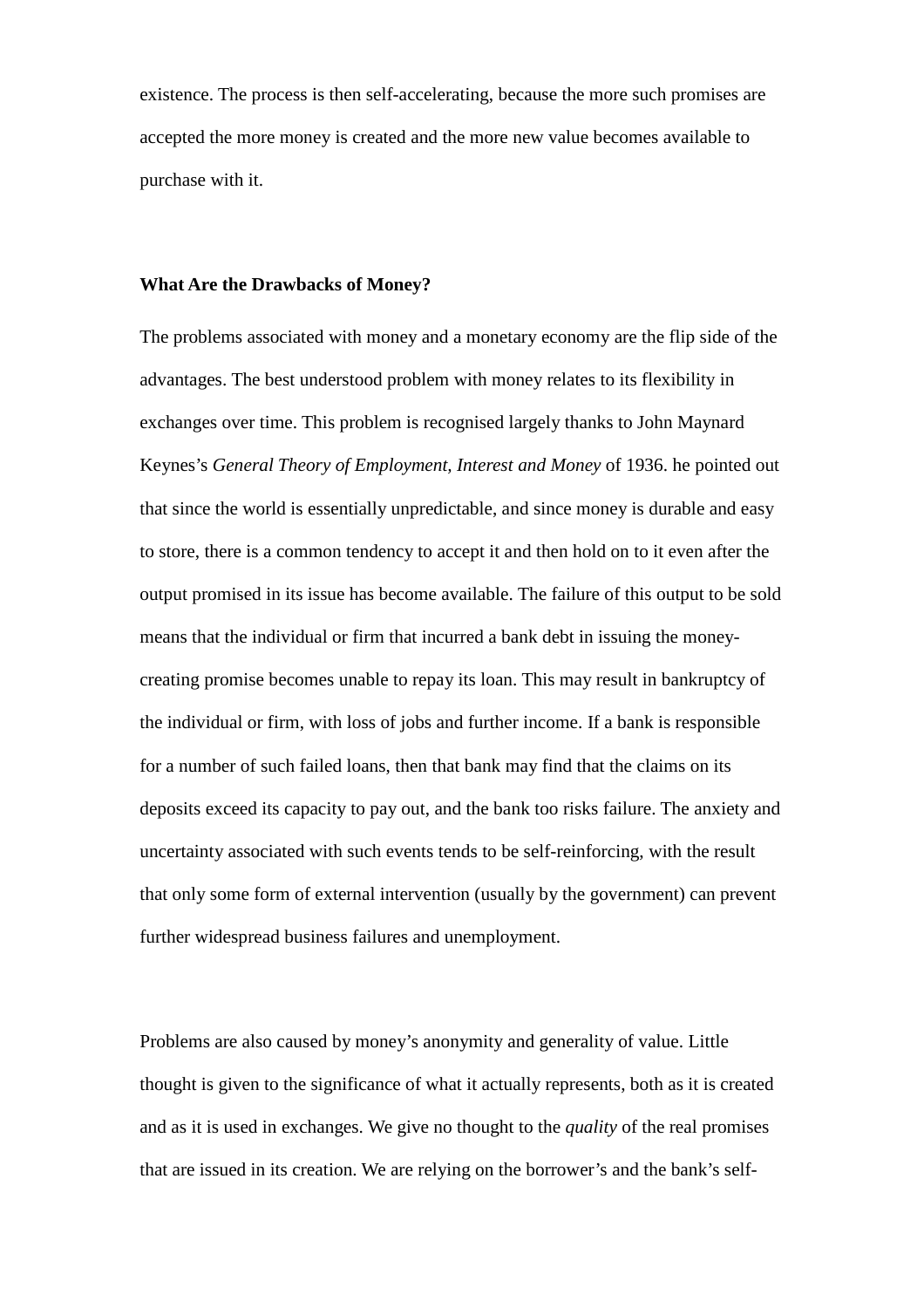existence. The process is then self-accelerating, because the more such promises are accepted the more money is created and the more new value becomes available to purchase with it.

## **What Are the Drawbacks of Money?**

The problems associated with money and a monetary economy are the flip side of the advantages. The best understood problem with money relates to its flexibility in exchanges over time. This problem is recognised largely thanks to John Maynard Keynes's *General Theory of Employment, Interest and Money* of 1936. he pointed out that since the world is essentially unpredictable, and since money is durable and easy to store, there is a common tendency to accept it and then hold on to it even after the output promised in its issue has become available. The failure of this output to be sold means that the individual or firm that incurred a bank debt in issuing the moneycreating promise becomes unable to repay its loan. This may result in bankruptcy of the individual or firm, with loss of jobs and further income. If a bank is responsible for a number of such failed loans, then that bank may find that the claims on its deposits exceed its capacity to pay out, and the bank too risks failure. The anxiety and uncertainty associated with such events tends to be self-reinforcing, with the result that only some form of external intervention (usually by the government) can prevent further widespread business failures and unemployment.

Problems are also caused by money's anonymity and generality of value. Little thought is given to the significance of what it actually represents, both as it is created and as it is used in exchanges. We give no thought to the *quality* of the real promises that are issued in its creation. We are relying on the borrower's and the bank's self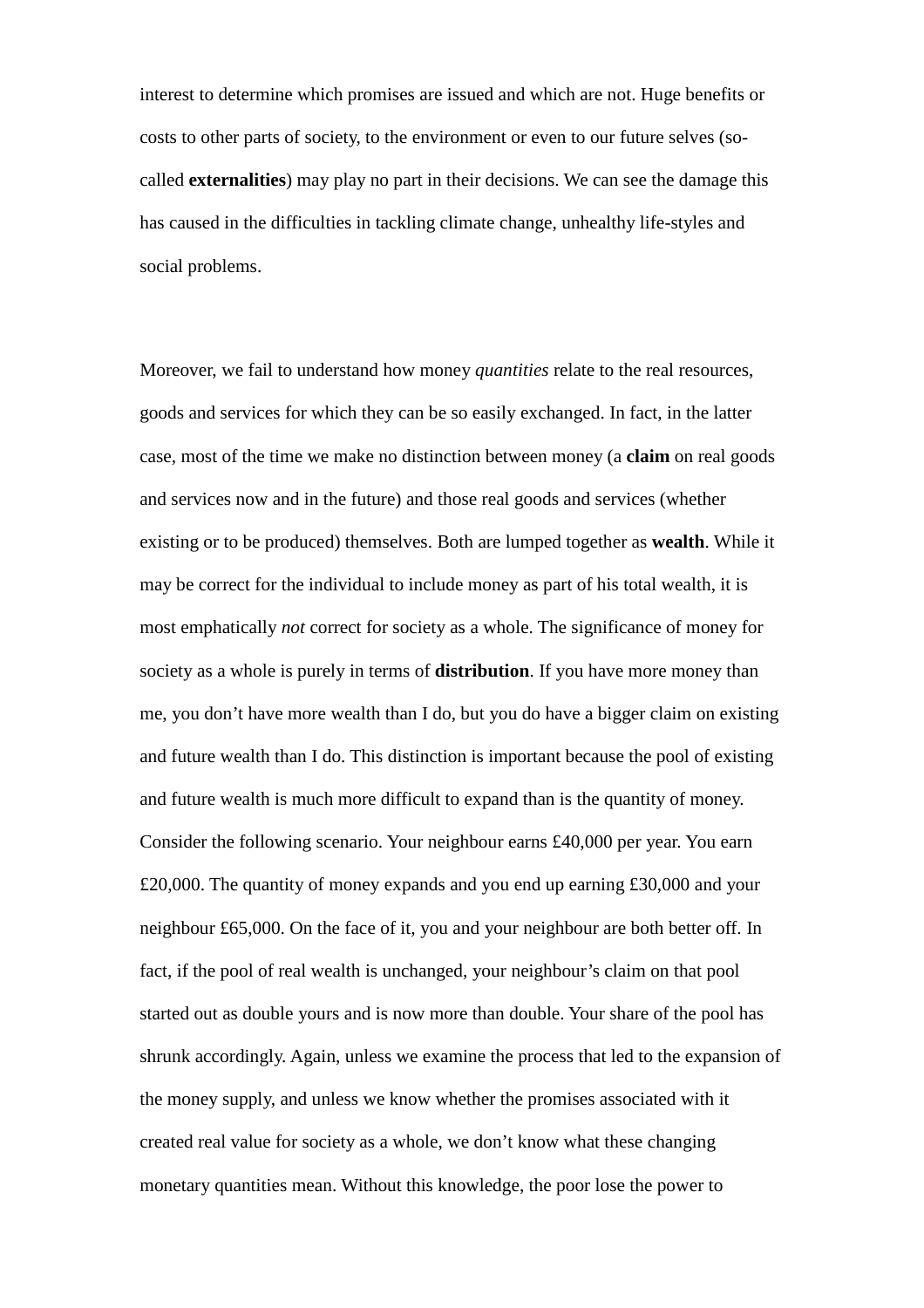interest to determine which promises are issued and which are not. Huge benefits or costs to other parts of society, to the environment or even to our future selves (socalled **externalities**) may play no part in their decisions. We can see the damage this has caused in the difficulties in tackling climate change, unhealthy life-styles and social problems.

Moreover, we fail to understand how money *quantities* relate to the real resources, goods and services for which they can be so easily exchanged. In fact, in the latter case, most of the time we make no distinction between money (a **claim** on real goods and services now and in the future) and those real goods and services (whether existing or to be produced) themselves. Both are lumped together as **wealth**. While it may be correct for the individual to include money as part of his total wealth, it is most emphatically *not* correct for society as a whole. The significance of money for society as a whole is purely in terms of **distribution**. If you have more money than me, you don't have more wealth than I do, but you do have a bigger claim on existing and future wealth than I do. This distinction is important because the pool of existing and future wealth is much more difficult to expand than is the quantity of money. Consider the following scenario. Your neighbour earns £40,000 per year. You earn £20,000. The quantity of money expands and you end up earning £30,000 and your neighbour £65,000. On the face of it, you and your neighbour are both better off. In fact, if the pool of real wealth is unchanged, your neighbour's claim on that pool started out as double yours and is now more than double. Your share of the pool has shrunk accordingly. Again, unless we examine the process that led to the expansion of the money supply, and unless we know whether the promises associated with it created real value for society as a whole, we don't know what these changing monetary quantities mean. Without this knowledge, the poor lose the power to